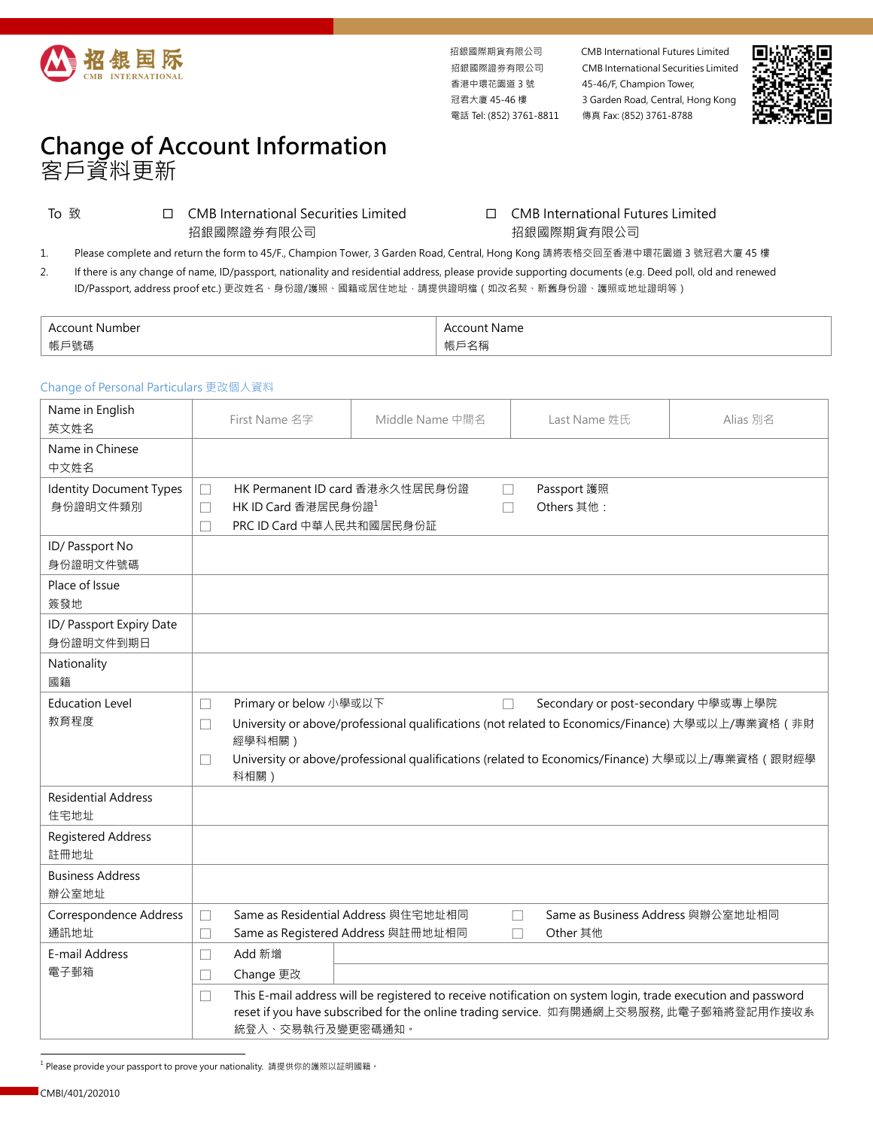

香港中環花園道 3 號 冠君大廈 45-46 樓 電話 Tel: (852) 3761-8811 傳真 Fax: (852) 3761-8788

招銀國際期貨有限公司 CMB International Futures Limited 招銀國際證券有限公司 CMB International Securities Limited 45-46/F, Champion Tower, 3 Garden Road, Central, Hong Kong



## **Change of Account Information**  客戶資料更新

To 致 CMB International Securities Limited 招銀國際證券有限公司

## □ CMB International Futures Limited 招銀國際期貨有限公司

1. Please complete and return the form to 45/F., Champion Tower, 3 Garden Road, Central, Hong Kong 請將表格交回至香港中環花園道 3 號冠君大廈 45 樓

2. If there is any change of name, ID/passport, nationality and residential address, please provide supporting documents (e.g. Deed poll, old and renewed ID/Passport, address proof etc.) 更改姓名、身份證/護照、國籍或居住地址,請提供證明檔(如改名契、新舊身份證、護照或地址證明等)

| Number                                   | Name<br>$^{\prime\prime}$<br>. |
|------------------------------------------|--------------------------------|
| $AF \subseteq 0$<br>''K /<br>שיויי טיוונ | 白們<br>TK /                     |

## Change of Personal Particulars 更改個人資料

| Name in English<br>英文姓名        |                                                                                        | First Name 名字                                                                                               | Middle Name 中間名                                                                                              | Last Name 姓氏                                | Alias 別名 |  |  |
|--------------------------------|----------------------------------------------------------------------------------------|-------------------------------------------------------------------------------------------------------------|--------------------------------------------------------------------------------------------------------------|---------------------------------------------|----------|--|--|
| Name in Chinese<br>中文姓名        |                                                                                        |                                                                                                             |                                                                                                              |                                             |          |  |  |
| <b>Identity Document Types</b> | HK Permanent ID card 香港永久性居民身份證<br>Passport 護照<br>П<br>П                               |                                                                                                             |                                                                                                              |                                             |          |  |  |
| 身份證明文件類別                       | П                                                                                      | HK ID Card 香港居民身份證1<br>Others 其他:                                                                           |                                                                                                              |                                             |          |  |  |
|                                |                                                                                        | PRC ID Card 中華人民共和國居民身份証                                                                                    |                                                                                                              |                                             |          |  |  |
| ID/Passport No                 |                                                                                        |                                                                                                             |                                                                                                              |                                             |          |  |  |
| 身份證明文件號碼                       |                                                                                        |                                                                                                             |                                                                                                              |                                             |          |  |  |
| Place of Issue                 |                                                                                        |                                                                                                             |                                                                                                              |                                             |          |  |  |
| 簽發地                            |                                                                                        |                                                                                                             |                                                                                                              |                                             |          |  |  |
| ID/ Passport Expiry Date       |                                                                                        |                                                                                                             |                                                                                                              |                                             |          |  |  |
| 身份證明文件到期日                      |                                                                                        |                                                                                                             |                                                                                                              |                                             |          |  |  |
| Nationality                    |                                                                                        |                                                                                                             |                                                                                                              |                                             |          |  |  |
| 國籍                             |                                                                                        |                                                                                                             |                                                                                                              |                                             |          |  |  |
| <b>Education Level</b>         | $\mathbf{L}$                                                                           | Primary or below 小學或以下<br>Secondary or post-secondary 中學或專上學院<br>П                                          |                                                                                                              |                                             |          |  |  |
| 教育程度                           | П                                                                                      | University or above/professional qualifications (not related to Economics/Finance) 大學或以上/專業資格 (非財<br>經學科相關) |                                                                                                              |                                             |          |  |  |
|                                | $\mathbf{L}$                                                                           | University or above/professional qualifications (related to Economics/Finance) 大學或以上/專業資格 (跟財經學<br>科相關)     |                                                                                                              |                                             |          |  |  |
| <b>Residential Address</b>     |                                                                                        |                                                                                                             |                                                                                                              |                                             |          |  |  |
| 住宅地址                           |                                                                                        |                                                                                                             |                                                                                                              |                                             |          |  |  |
| <b>Registered Address</b>      |                                                                                        |                                                                                                             |                                                                                                              |                                             |          |  |  |
| 註冊地址                           |                                                                                        |                                                                                                             |                                                                                                              |                                             |          |  |  |
| <b>Business Address</b>        |                                                                                        |                                                                                                             |                                                                                                              |                                             |          |  |  |
| 辦公室地址                          |                                                                                        |                                                                                                             |                                                                                                              |                                             |          |  |  |
| Correspondence Address         | $\Box$                                                                                 |                                                                                                             | Same as Residential Address 與住宅地址相同                                                                          | Same as Business Address 與辦公室地址相同<br>$\Box$ |          |  |  |
| 通訊地址                           | П                                                                                      | Same as Registered Address 與註冊地址相同                                                                          |                                                                                                              | Other 其他<br>П                               |          |  |  |
| E-mail Address                 | П                                                                                      | Add 新增                                                                                                      |                                                                                                              |                                             |          |  |  |
| 電子郵箱                           | $\overline{\phantom{a}}$                                                               | Change 更改                                                                                                   |                                                                                                              |                                             |          |  |  |
|                                | $\mathbf{L}$                                                                           |                                                                                                             | This E-mail address will be registered to receive notification on system login, trade execution and password |                                             |          |  |  |
|                                | reset if you have subscribed for the online trading service. 如有開通網上交易服務, 此電子郵箱將登記用作接收系 |                                                                                                             |                                                                                                              |                                             |          |  |  |
|                                | 統登入、交易執行及變更密碼通知。                                                                       |                                                                                                             |                                                                                                              |                                             |          |  |  |

<sup>1</sup> Please provide your passport to prove your nationality. 請提供你的護照以証明國籍。

l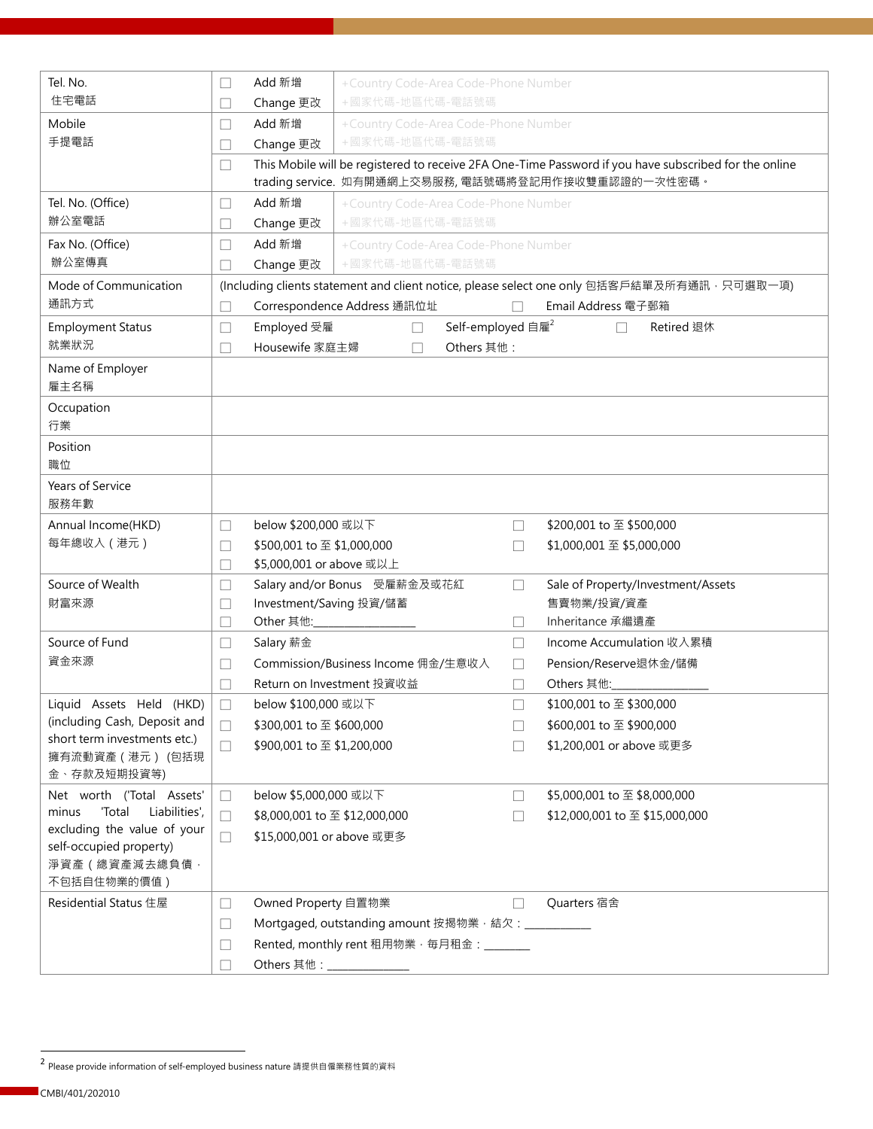| Tel. No.<br>住宅電話                                       | $\Box$<br>П                                                                                  | Add 新增<br>Change 更改                                    | +Country Code-Area Code-Phone Number<br>+國家代碼-地區代碼-電話號碼 |                               |                   |                                                                                                                                                              |
|--------------------------------------------------------|----------------------------------------------------------------------------------------------|--------------------------------------------------------|---------------------------------------------------------|-------------------------------|-------------------|--------------------------------------------------------------------------------------------------------------------------------------------------------------|
|                                                        |                                                                                              |                                                        |                                                         |                               |                   |                                                                                                                                                              |
| Mobile<br>手提電話                                         | П                                                                                            | Add 新增<br>+Country Code-Area Code-Phone Number         |                                                         |                               |                   |                                                                                                                                                              |
|                                                        |                                                                                              | +國家代碼-地區代碼-電話號碼<br>Change 更改<br>$\mathbf{L}$           |                                                         |                               |                   |                                                                                                                                                              |
|                                                        | П                                                                                            |                                                        |                                                         |                               |                   | This Mobile will be registered to receive 2FA One-Time Password if you have subscribed for the online<br>trading service. 如有開通網上交易服務, 電話號碼將登記用作接收雙重認證的一次性密碼。 |
| Tel. No. (Office)                                      | $\Box$                                                                                       | Add 新增                                                 | +Country Code-Area Code-Phone Number                    |                               |                   |                                                                                                                                                              |
| 辦公室電話                                                  | Н                                                                                            | +國家代碼-地區代碼-電話號碼<br>Change 更改                           |                                                         |                               |                   |                                                                                                                                                              |
| Fax No. (Office)                                       | П                                                                                            | Add 新增                                                 | +Country Code-Area Code-Phone Number                    |                               |                   |                                                                                                                                                              |
| 辦公室傳真                                                  |                                                                                              | +國家代碼-地區代碼-電話號碼<br>Change 更改                           |                                                         |                               |                   |                                                                                                                                                              |
| Mode of Communication                                  | (Including clients statement and client notice, please select one only 包括客戶結單及所有通訊 · 只可選取一項) |                                                        |                                                         |                               |                   |                                                                                                                                                              |
| 通訊方式                                                   | Correspondence Address 通訊位址<br>Email Address 電子郵箱<br>П                                       |                                                        |                                                         |                               |                   |                                                                                                                                                              |
| <b>Employment Status</b>                               | ⊔                                                                                            | Employed 受雇                                            | $\Box$                                                  | Self-employed 自雇 <sup>2</sup> |                   | Retired 退休                                                                                                                                                   |
| 就業狀況                                                   |                                                                                              | Housewife 家庭主婦                                         |                                                         | Others 其他:                    |                   |                                                                                                                                                              |
| Name of Employer                                       |                                                                                              |                                                        |                                                         |                               |                   |                                                                                                                                                              |
| 雇主名稱                                                   |                                                                                              |                                                        |                                                         |                               |                   |                                                                                                                                                              |
| Occupation                                             |                                                                                              |                                                        |                                                         |                               |                   |                                                                                                                                                              |
| 行業                                                     |                                                                                              |                                                        |                                                         |                               |                   |                                                                                                                                                              |
| Position                                               |                                                                                              |                                                        |                                                         |                               |                   |                                                                                                                                                              |
| 職位                                                     |                                                                                              |                                                        |                                                         |                               |                   |                                                                                                                                                              |
| Years of Service<br>服務年數                               |                                                                                              |                                                        |                                                         |                               |                   |                                                                                                                                                              |
| Annual Income(HKD)                                     |                                                                                              | below \$200,000 或以下                                    |                                                         |                               |                   | \$200,001 to 至 \$500,000                                                                                                                                     |
| 每年總收入 (港元)                                             | $\Box$                                                                                       |                                                        |                                                         |                               | $\Box$            |                                                                                                                                                              |
|                                                        | П<br>П                                                                                       | \$500,001 to 至 \$1,000,000<br>\$5,000,001 or above 或以上 |                                                         |                               | Ш                 | \$1,000,001 至 \$5,000,000                                                                                                                                    |
| Source of Wealth                                       | $\Box$                                                                                       |                                                        | Salary and/or Bonus 受雇薪金及或花紅                            |                               | П                 | Sale of Property/Investment/Assets                                                                                                                           |
| 財富來源                                                   | Н                                                                                            | Investment/Saving 投資/儲蓄                                |                                                         |                               |                   | 售賣物業/投資/資產                                                                                                                                                   |
|                                                        | $\vert \ \ \vert$                                                                            | Other 其他:                                              |                                                         |                               | Ш                 | Inheritance 承繼遺產                                                                                                                                             |
| Source of Fund                                         | Н                                                                                            | Salary 薪金                                              |                                                         |                               | $\vert \ \ \vert$ | Income Accumulation 收入累積                                                                                                                                     |
| 資金來源                                                   | П                                                                                            |                                                        | Commission/Business Income 佣金/生意收入                      |                               | $\mathbf{L}$      | Pension/Reserve退休金/儲備                                                                                                                                        |
|                                                        |                                                                                              |                                                        | Return on Investment 投資收益                               |                               |                   | Others 其他:                                                                                                                                                   |
| Liquid Assets Held (HKD)                               | $\Box$                                                                                       | below \$100,000 或以下                                    |                                                         |                               |                   | \$100,001 to 至 \$300,000                                                                                                                                     |
| (including Cash, Deposit and                           | $\Box$                                                                                       | \$300,001 to 至 \$600,000                               |                                                         |                               | $\Box$            | \$600,001 to 至 \$900,000                                                                                                                                     |
| short term investments etc.)                           | $\Box$                                                                                       | \$900,001 to 至 \$1,200,000                             |                                                         |                               | $\mathbf{L}$      | \$1,200,001 or above 或更多                                                                                                                                     |
| 擁有流動資產 (港元) (包括現                                       |                                                                                              |                                                        |                                                         |                               |                   |                                                                                                                                                              |
| 金、存款及短期投資等)                                            |                                                                                              |                                                        |                                                         |                               |                   |                                                                                                                                                              |
| Net worth ('Total Assets'                              | П                                                                                            | below \$5,000,000 或以下                                  |                                                         |                               | $\vert \ \ \vert$ | \$5,000,001 to 至 \$8,000,000                                                                                                                                 |
| 'Total<br>Liabilities',<br>minus                       | $\Box$                                                                                       | \$8,000,001 to 至 \$12,000,000                          |                                                         |                               | П                 | \$12,000,001 to 至 \$15,000,000                                                                                                                               |
| excluding the value of your<br>self-occupied property) | $\Box$                                                                                       | \$15,000,001 or above 或更多                              |                                                         |                               |                   |                                                                                                                                                              |
| 淨資產 (總資產減去總負債,                                         |                                                                                              |                                                        |                                                         |                               |                   |                                                                                                                                                              |
| 不包括自住物業的價值)                                            |                                                                                              |                                                        |                                                         |                               |                   |                                                                                                                                                              |
| Residential Status 住屋                                  | u                                                                                            | Owned Property 自置物業                                    |                                                         |                               | $\vert \ \ \vert$ | Quarters 宿舍                                                                                                                                                  |
|                                                        | $\Box$                                                                                       | Mortgaged, outstanding amount 按揭物業, 結欠: ___________    |                                                         |                               |                   |                                                                                                                                                              |
|                                                        | $\Box$                                                                                       | Rented, monthly rent 租用物業, 每月租金: ________              |                                                         |                               |                   |                                                                                                                                                              |
|                                                        | П                                                                                            |                                                        |                                                         |                               |                   |                                                                                                                                                              |
|                                                        |                                                                                              |                                                        |                                                         |                               |                   |                                                                                                                                                              |

l

<sup>2</sup> Please provide information of self-employed business nature 請提供自僱業務性質的資料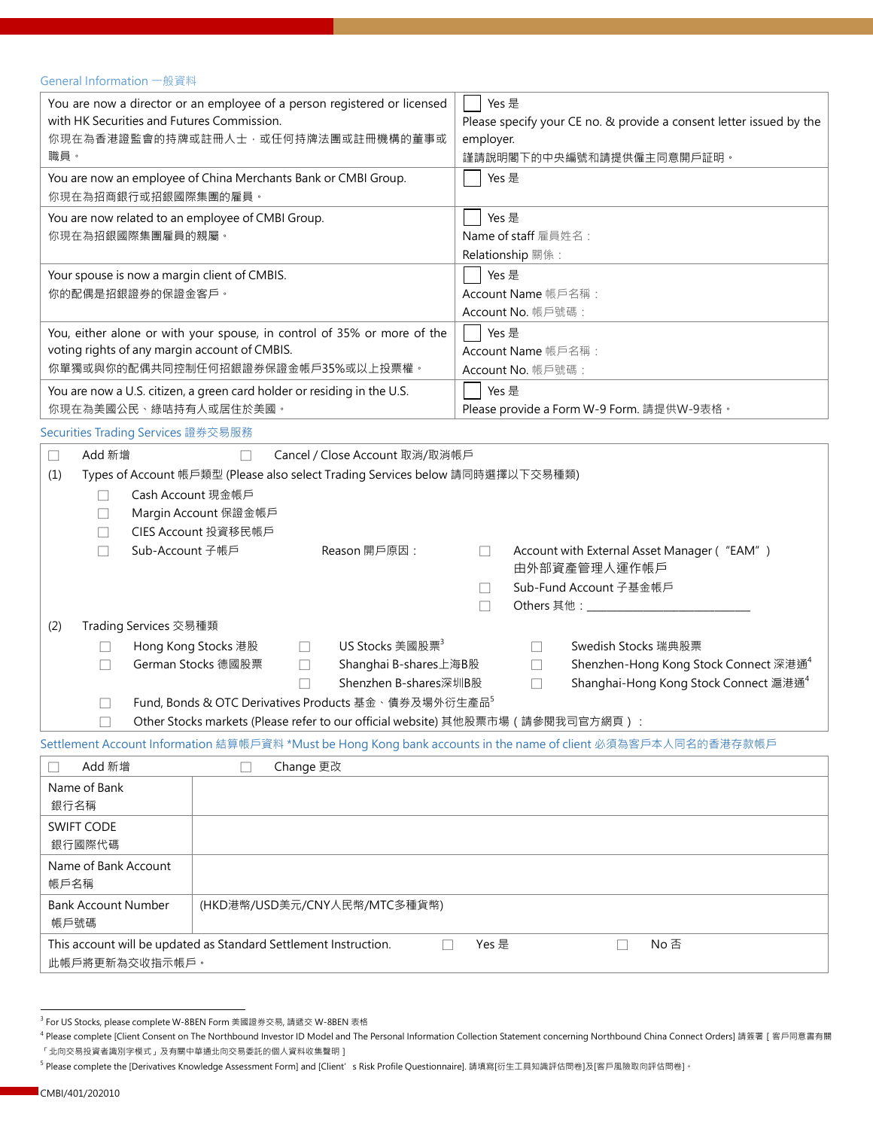## General Information 一般資料

| You are now a director or an employee of a person registered or licensed<br>with HK Securities and Futures Commission.<br>你現在為香港證監會的持牌或註冊人士,或任何持牌法團或註冊機構的董事或<br>職員。                                                                                                                                                                                                                                                                                                                            | Yes 是<br>Please specify your CE no. & provide a consent letter issued by the<br>employer.<br>謹請說明閣下的中央編號和請提供僱主同意開戶証明。                    |  |  |  |
|------------------------------------------------------------------------------------------------------------------------------------------------------------------------------------------------------------------------------------------------------------------------------------------------------------------------------------------------------------------------------------------------------------------------------------------------------------------------------------------------|------------------------------------------------------------------------------------------------------------------------------------------|--|--|--|
| You are now an employee of China Merchants Bank or CMBI Group.<br>你現在為招商銀行或招銀國際集團的雇員。                                                                                                                                                                                                                                                                                                                                                                                                          | Yes 是                                                                                                                                    |  |  |  |
| You are now related to an employee of CMBI Group.<br>你現在為招銀國際集團雇員的親屬。                                                                                                                                                                                                                                                                                                                                                                                                                          | Yes 是<br>Name of staff 雇員姓名:<br>Relationship 關係:                                                                                         |  |  |  |
| Your spouse is now a margin client of CMBIS.<br>你的配偶是招銀證券的保證金客戶。                                                                                                                                                                                                                                                                                                                                                                                                                               | Yes 是<br>Account Name 帳戶名稱:<br>Account No. 帳戶號碼:                                                                                         |  |  |  |
| You, either alone or with your spouse, in control of 35% or more of the<br>voting rights of any margin account of CMBIS.<br>你單獨或與你的配偶共同控制任何招銀證券保證金帳戶35%或以上投票權。                                                                                                                                                                                                                                                                                                                                 | Yes 是<br>Account Name 帳戶名稱:<br>Account No. 帳戶號碼:                                                                                         |  |  |  |
| You are now a U.S. citizen, a green card holder or residing in the U.S.<br>你現在為美國公民、綠咭持有人或居住於美國。                                                                                                                                                                                                                                                                                                                                                                                               | Yes 是<br>Please provide a Form W-9 Form. 請提供W-9表格。                                                                                       |  |  |  |
| Securities Trading Services 證券交易服務                                                                                                                                                                                                                                                                                                                                                                                                                                                             |                                                                                                                                          |  |  |  |
| Add 新增<br>Cancel / Close Account 取消/取消帳戶<br>$\Box$<br>Types of Account 帳戶類型 (Please also select Trading Services below 請同時選擇以下交易種類)<br>(1)                                                                                                                                                                                                                                                                                                                                                     |                                                                                                                                          |  |  |  |
| Cash Account 現金帳戶<br>Margin Account 保證金帳戶<br>$\Box$<br>CIES Account 投資移民帳戶<br>Sub-Account 子帳戶<br>Reason 開戶原因:<br>$\Box$                                                                                                                                                                                                                                                                                                                                                                        | Account with External Asset Manager ("EAM")<br>$\Box$<br>由外部資產管理人運作帳戶<br>Sub-Fund Account 子基金帳戶<br>Others 其他: _____________________<br>П |  |  |  |
| Trading Services 交易種類<br>(2)<br>Hong Kong Stocks 港股<br>US Stocks 美國股票 <sup>3</sup><br>Swedish Stocks 瑞典股票<br>$\Box$<br>$\mathbf{L}$<br>$\Box$<br>German Stocks 德國股票<br>Shenzhen-Hong Kong Stock Connect 深港通 <sup>4</sup><br>Shanghai B-shares上海B股<br>П<br>П<br>Shenzhen B-shares深圳B股<br>Shanghai-Hong Kong Stock Connect 滬港通 <sup>4</sup><br>$\Box$<br>Fund, Bonds & OTC Derivatives Products 基金、債券及場外衍生產品5<br>Other Stocks markets (Please refer to our official website) 其他股票市場 (請參閱我司官方網頁): |                                                                                                                                          |  |  |  |
| Settlement Account Information 結算帳戶資料 *Must be Hong Kong bank accounts in the name of client 必須為客戶本人同名的香港存款帳戶                                                                                                                                                                                                                                                                                                                                                                                  |                                                                                                                                          |  |  |  |
| Add 新增<br>Change 更改<br>П                                                                                                                                                                                                                                                                                                                                                                                                                                                                       |                                                                                                                                          |  |  |  |
| Name of Bank<br>銀行名稱                                                                                                                                                                                                                                                                                                                                                                                                                                                                           |                                                                                                                                          |  |  |  |
| <b>SWIFT CODE</b><br>銀行國際代碼                                                                                                                                                                                                                                                                                                                                                                                                                                                                    |                                                                                                                                          |  |  |  |
| Name of Bank Account<br>帳戶名稱                                                                                                                                                                                                                                                                                                                                                                                                                                                                   |                                                                                                                                          |  |  |  |
| <b>Bank Account Number</b><br>(HKD港幣/USD美元/CNY人民幣/MTC多種貨幣)<br>帳戶號碼                                                                                                                                                                                                                                                                                                                                                                                                                             |                                                                                                                                          |  |  |  |
| This account will be updated as Standard Settlement Instruction.<br>П<br>此帳戶將更新為交收指示帳戶。                                                                                                                                                                                                                                                                                                                                                                                                        | No 否<br>Yes 是<br>П                                                                                                                       |  |  |  |

l

 $^3$  For US Stocks, please complete W-8BEN Form 美國證券交易, 請遞交 W-8BEN 表格

<sup>4</sup> Please complete [Client Consent on The Northbound Investor ID Model and The Personal Information Collection Statement concerning Northbound China Connect Orders] 請簽署[客戶同意書有關 「北向交易投資者識別字模式」及有關中華通北向交易委託的個人資料收集聲明]

<sup>&</sup>lt;sup>5</sup> Please complete the [Derivatives Knowledge Assessment Form] and [Client's Risk Profile Questionnaire]. 請填寫[衍生工具知識評估問卷]及[客戶風險取向評估問卷]。